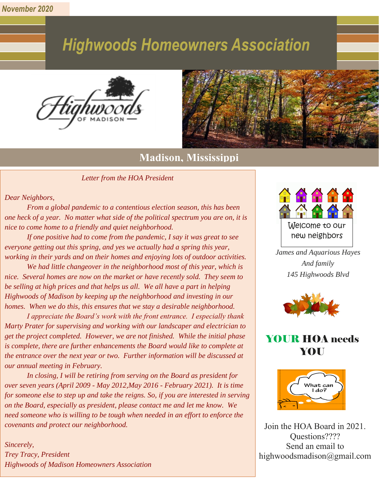*November 2020*

# **Highwoods Homeowners Association**





## **Madison, Mississippi**

*Letter from the HOA President*

*Dear Neighbors,*

*From a global pandemic to a contentious election season, this has been one heck of a year. No matter what side of the political spectrum you are on, it is nice to come home to a friendly and quiet neighborhood.* 

*If one positive had to come from the pandemic, I say it was great to see everyone getting out this spring, and yes we actually had a spring this year, working in their yards and on their homes and enjoying lots of outdoor activities.* 

*We had little changeover in the neighborhood most of this year, which is nice. Several homes are now on the market or have recently sold. They seem to be selling at high prices and that helps us all. We all have a part in helping Highwoods of Madison by keeping up the neighborhood and investing in our homes. When we do this, this ensures that we stay a desirable neighborhood.*

*I appreciate the Board's work with the front entrance. I especially thank Marty Prater for supervising and working with our landscaper and electrician to get the project completed. However, we are not finished. While the initial phase is complete, there are further enhancements the Board would like to complete at the entrance over the next year or two. Further information will be discussed at our annual meeting in February.*

*In closing, I will be retiring from serving on the Board as president for over seven years (April 2009 - May 2012,May 2016 - February 2021). It is time for someone else to step up and take the reigns. So, if you are interested in serving on the Board, especially as president, please contact me and let me know. We need someone who is willing to be tough when needed in an effort to enforce the covenants and protect our neighborhood.*

*Sincerely, Trey Tracy, President Highwoods of Madison Homeowners Association*



*James and Aquarious Hayes And family 145 Highwoods Blvd*



## YOUR HOA needs YOU



Join the HOA Board in 2021. Questions???? Send an email to highwoodsmadison@gmail.com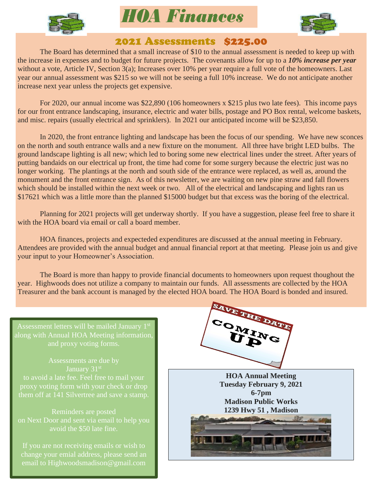

*HOA Finances*



### 2021 Assessments \$225.00

The Board has determined that a small increase of \$10 to the annual assessment is needed to keep up with the increase in expenses and to budget for future projects. The covenants allow for up to a *10% increase per year* without a vote, Article IV, Section 3(a); Increases over 10% per year require a full vote of the homeowners. Last year our annual assessment was \$215 so we will not be seeing a full 10% increase. We do not anticipate another increase next year unless the projects get expensive.

For 2020, our annual income was \$22,890 (106 homeowners x \$215 plus two late fees). This income pays for our front entrance landscaping, insurance, electric and water bills, postage and PO Box rental, welcome baskets, and misc. repairs (usually electrical and sprinklers). In 2021 our anticipated income will be \$23,850.

In 2020, the front entrance lighting and landscape has been the focus of our spending. We have new sconces on the north and south entrance walls and a new fixture on the monument. All three have bright LED bulbs. The ground landscape lighting is all new; which led to boring some new electrical lines under the street. After years of putting bandaids on our electrical up front, the time had come for some surgery because the electric just was no longer working. The plantings at the north and south side of the entrance were replaced, as well as, around the monument and the front entrance sign. As of this newsletter, we are waiting on new pine straw and fall flowers which should be installed within the next week or two. All of the electrical and landscaping and lights ran us \$17621 which was a little more than the planned \$15000 budget but that excess was the boring of the electrical.

Planning for 2021 projects will get underway shortly. If you have a suggestion, please feel free to share it with the HOA board via email or call a board member.

HOA finances, projects and expecteded expenditures are discussed at the annual meeting in February. Attendees are provided with the annual budget and annual financial report at that meeting. Please join us and give your input to your Homeowner's Association.

The Board is more than happy to provide financial documents to homeowners upon request thoughout the year. Highwoods does not utilize a company to maintain our funds. All assessments are collected by the HOA Treasurer and the bank account is managed by the elected HOA board. The HOA Board is bonded and insured.

Assessment letters will be mailed January  $1^{\text{s}}$ and proxy voting forms.

Assessments are due by January 31<sup>st</sup> to avoid a late fee. Feel free to mail your

Reminders are posted avoid the \$50 late fine.

If you are not receiving emails or wish to change your emial address, please send an email to Highwoodsmadison@gmail.com



**HOA Annual Meeting Tuesday February 9, 2021 6-7pm Madison Public Works 1239 Hwy 51 , Madison**

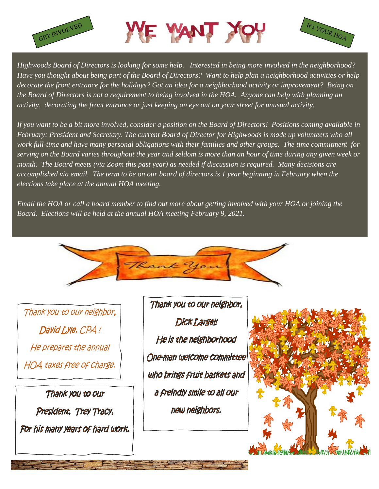





*Highwoods Board of Directors is looking for some help. Interested in being more involved in the neighborhood? Have you thought about being part of the Board of Directors? Want to help plan a neighborhood activities or help decorate the front entrance for the holidays? Got an idea for a neighborhood activity or improvement? Being on the Board of Directors is not a requirement to being involved in the HOA. Anyone can help with planning an activity, decorating the front entrance or just keeping an eye out on your street for unusual activity.* 

*If you want to be a bit more involved, consider a position on the Board of Directors! Positions coming available in February: President and Secretary. The current Board of Director for Highwoods is made up volunteers who all work full-time and have many personal obligations with their families and other groups. The time commitment for serving on the Board varies throughout the year and seldom is more than an hour of time during any given week or month. The Board meets (via Zoom this past year) as needed if discussion is required. Many decisions are accomplished via email. The term to be on our board of directors is 1 year beginning in February when the elections take place at the annual HOA meeting.* 

*Email the HOA or call a board member to find out more about getting involved with your HOA or joining the Board. Elections will be held at the annual HOA meeting February 9, 2021.*



Thank you to our neighbor, David Lyle, CPA ! He prepares the annual HOA taxes free of charge.

Thank you to our President, Trey Tracy, For his many years of hard work.

Thank you to our neighbor, **Dick Largel!** He is the neighborhood One-man welcome committee who brings fruit baskets and a freindly smile to all our new neighbors.

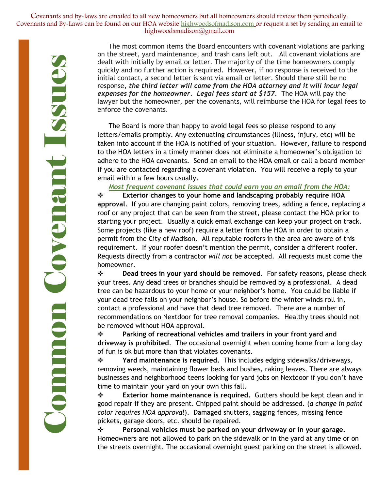Covenants and by-laws are emailed to all new homeowners but all homeowners should review them periodically. Covenants and By-Laws can be found on our HOA website highwoodsofmadison.com or request a set by sending an email to highwoodsmadison@gmail.com

> The most common items the Board encounters with covenant violations are parking on the street, yard maintenance, and trash cans left out. All covenant violations are dealt with initially by email or letter. The majority of the time homeowners comply quickly and no further action is required. However, if no response is received to the initial contact, a second letter is sent via email or letter. Should there still be no response, *the third letter will come from the HOA attorney and it will incur legal expenses for the homeowner. Legal fees start at \$157.* The HOA will pay the lawyer but the homeowner, per the covenants, will reimburse the HOA for legal fees to enforce the covenants.

> The Board is more than happy to avoid legal fees so please respond to any letters/emails promptly. Any extenuating circumstances (illness, injury, etc) will be taken into account if the HOA is notified of your situation. However, failure to respond to the HOA letters in a timely manner does not eliminate a homeowner's obligation to adhere to the HOA covenants. Send an email to the HOA email or call a board member if you are contacted regarding a covenant violation. You will receive a reply to your email within a few hours usually.

*Most frequent covenant issues that could earn you an email from the HOA:*

❖ **Exterior changes to your home and landscaping probably require HOA approval**. If you are changing paint colors, removing trees, adding a fence, replacing a roof or any project that can be seen from the street, please contact the HOA prior to starting your project. Usually a quick email exchange can keep your project on track. Some projects (like a new roof) require a letter from the HOA in order to obtain a permit from the City of Madison. All reputable roofers in the area are aware of this requirement. If your roofer doesn't mention the permit, consider a different roofer. Requests directly from a contractor *will not* be accepted. All requests must come the homeowner.

❖ **Dead trees in your yard should be removed**. For safety reasons, please check your trees. Any dead trees or branches should be removed by a professional. A dead tree can be hazardous to your home or your neighbor's home. You could be liable if your dead tree falls on your neighbor's house. So before the winter winds roll in, contact a professional and have that dead tree removed. There are a number of recommendations on Nextdoor for tree removal companies. Healthy trees should not be removed without HOA approval.

❖ **Parking of recreational vehicles amd trailers in your front yard and driveway is prohibited**. The occasional overnight when coming home from a long day of fun is ok but more than that violates covenants.

❖ **Yard maintenance is required.** This includes edging sidewalks/driveways, removing weeds, maintaining flower beds and bushes, raking leaves. There are always businesses and neighborhood teens looking for yard jobs on Nextdoor if you don't have time to maintain your yard on your own this fall.

❖ **Exterior home maintenance is required.** Gutters should be kept clean and in good repair if they are present. Chipped paint should be addressed. (*a change in paint color requires HOA approval*). Damaged shutters, sagging fences, missing fence pickets, garage doors, etc. should be repaired.

❖ **Personal vehicles must be parked on your driveway or in your garage.**  Homeowners are not allowed to park on the sidewalk or in the yard at any time or on the streets overnight. The occasional overnight guest parking on the street is allowed.